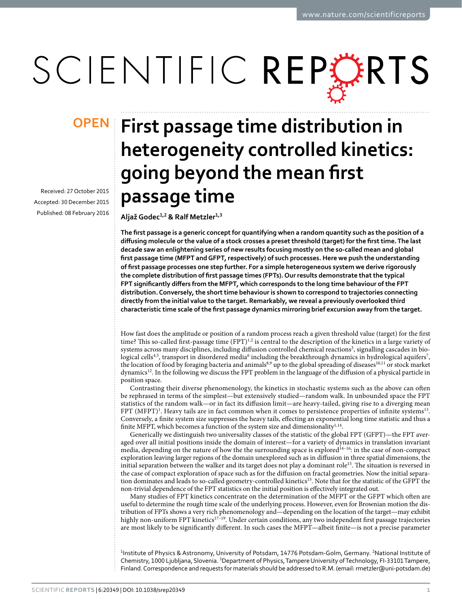# SCIENTIFIC REPERTS

Received: 27 October 2015 accepted: 30 December 2015 Published: 08 February 2016

## **First passage time distribution in OPENheterogeneity controlled kinetics: going beyond the mean first passage time**

**AljažGodec<sup>1</sup>,<sup>2</sup> & Ralf Metzler<sup>1</sup>,<sup>3</sup>**

**The first passage is a generic concept for quantifying when a random quantity such as the position of a diffusing molecule or the value of a stock crosses a preset threshold (target) for the first time. The last decade saw an enlightening series of new results focusing mostly on the so-called mean and global first passage time (MFPT and GFPT, respectively) of such processes. Here we push the understanding of first passage processes one step further. For a simple heterogeneous system we derive rigorously the complete distribution of first passage times (FPTs). Our results demonstrate that the typical FPT significantly differs from the MFPT, which corresponds to the long time behaviour of the FPT distribution. Conversely, the short time behaviour is shown to correspond to trajectories connecting directly from the initial value to the target. Remarkably, we reveal a previously overlooked third characteristic time scale of the first passage dynamics mirroring brief excursion away from the target.**

How fast does the amplitude or position of a random process reach a given threshold value (target) for the first time? This so-called first-passage time (FPT)<sup>[1](#page-9-0)[,2](#page-9-1)</sup> is central to the description of the kinetics in a large variety of systems across many disciplines, including diffusion controlled chemical reactions<sup>[3](#page-9-2)</sup>, signalling cascades in bio- $\rm logical$  cells $\rm ^{4.5},$  $\rm ^{4.5},$  $\rm ^{4.5},$  transport in disordered media $\rm ^6$  $\rm ^6$  including the breakthrough dynamics in hydrological aquifers $\rm ^7$  $\rm ^7$ , the location of food by foraging bacteria and animals<sup>[8](#page-9-7),9</sup> up to the global spreading of diseases<sup>10[,11](#page-9-10)</sup> or stock market dynamic[s12.](#page-9-11) In the following we discuss the FPT problem in the language of the diffusion of a physical particle in position space.

Contrasting their diverse phenomenology, the kinetics in stochastic systems such as the above can often be rephrased in terms of the simplest—but extensively studied—random walk. In unbounded space the FPT statistics of the random walk—or in fact its diffusion limit—are heavy-tailed, giving rise to a diverging mean  $FPT (MFPT)^{1}$  $FPT (MFPT)^{1}$  $FPT (MFPT)^{1}$ . Heavy tails are in fact common when it comes to persistence properties of infinite systems<sup>13</sup>. Conversely, a finite system size suppresses the heavy tails, effecting an exponential long time statistic and thus a finite MFPT, which becomes a function of the system size and dimensionality<sup>[1,](#page-9-0)14</sup>.

Generically we distinguish two universality classes of the statistic of the global FPT (GFPT)—the FPT averaged over all initial positions inside the domain of interest—for a variety of dynamics in translation invariant media, depending on the nature of how the the surrounding space is explored<sup>14–16</sup>: in the case of non-compact exploration leaving larger regions of the domain unexplored such as in diffusion in three spatial dimensions, the initial separation between the walker and its target does not play a dominant role<sup>[15](#page-9-14)</sup>. The situation is reversed in the case of compact exploration of space such as for the diffusion on fractal geometries. Now the initial separation dominates and leads to so-called geometry-controlled kinetic[s15.](#page-9-14) Note that for the statistic of the GFPT the non-trivial dependence of the FPT statistics on the initial position is effectively integrated out.

Many studies of FPT kinetics concentrate on the determination of the MFPT or the GFPT which often are useful to determine the rough time scale of the underlying process. However, even for Brownian motion the distribution of FPTs shows a very rich phenomenology and—depending on the location of the target—may exhibit highly non-uniform FPT kinetics<sup>17-19</sup>. Under certain conditions, any two independent first passage trajectories are most likely to be significantly different. In such cases the MFPT—albeit finite—is not a precise parameter

<sup>1</sup>Institute of Physics & Astronomy, University of Potsdam, 14776 Potsdam-Golm, Germany. <sup>2</sup>National Institute of Chemistry, 1000 Ljubljana, Slovenia. <sup>3</sup>Department of Physics, Tampere University of Technology, FI-33101 Tampere, Finland. Correspondence and requests for materials should be addressed to R.M. (email: [rmetzler@uni-potsdam.de](mailto:rmetzler@uni-potsdam.de))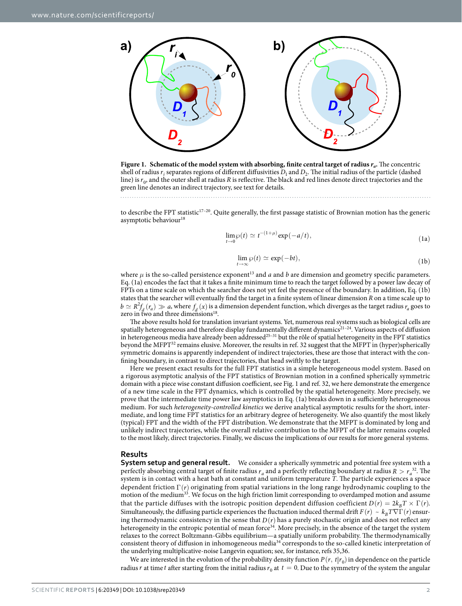

<span id="page-1-0"></span>**Figure 1.** Schematic of the model system with absorbing, finite central target of radius  $r_a$ . The concentric shell of radius  $r_i$  separates regions of different diffusivities  $D_1$  and  $D_2$ . The initial radius of the particle (dashed line) is  $r_0$ , and the outer shell at radius *R* is reflective. The black and red lines denote direct trajectories and the green line denotes an indirect trajectory, see text for details.

to describe the FPT statistic<sup>[17–20](#page-9-15)</sup>. Quite generally, the first passage statistic of Brownian motion has the generic asymptotic behaviour<sup>18</sup>

$$
\lim_{t \to 0} \wp(t) \simeq t^{-(1+\mu)} \exp(-a/t), \tag{1a}
$$

$$
\lim_{t \to \infty} \wp(t) \simeq \exp(-bt),\tag{1b}
$$

where  $\mu$  is the so-called persistence exponent<sup>13</sup> and  $a$  and  $b$  are dimension and geometry specific parameters. Eq. (1a) encodes the fact that it takes a finite minimum time to reach the target followed by a power law decay of FPTs on a time scale on which the searcher does not yet feel the presence of the boundary. In addition, Eq. (1b) states that the searcher will eventually find the target in a finite system of linear dimension *R* on a time scale up to  $b \simeq R^2 f_d(r_a) \gg a$ , where  $f_d(x)$  is a dimension dependent function, which diverges as the target radius  $r_a$  goes to zero in two and three dimensions $18$ .

The above results hold for translation invariant systems. Yet, numerous real systems such as biological cells are spatially heterogeneous and therefore display fundamentally different dynamics<sup>21-24</sup>. Various aspects of diffusion in heterogeneous media have already been addressed<sup>25-31</sup> but the rôle of spatial heterogeneity in the FPT statistics beyond the MFPT<sup>[32](#page-9-19)</sup> remains elusive. Moreover, the results in ref. 32 suggest that the MFPT in (hyper)spherically symmetric domains is apparently independent of indirect trajectories, these are those that interact with the confining boundary, in contrast to direct trajectories, that head swiftly to the target.

Here we present exact results for the full FPT statistics in a simple heterogeneous model system. Based on a rigorous asymptotic analysis of the FPT statistics of Brownian motion in a confined spherically symmetric domain with a piece wise constant diffusion coefficient, see [Fig. 1](#page-1-0) and ref. [32,](#page-9-19) we here demonstrate the emergence of a new time scale in the FPT dynamics, which is controlled by the spatial heterogeneity. More precisely, we prove that the intermediate time power law asymptotics in Eq. (1a) breaks down in a sufficiently heterogeneous medium. For such *heterogeneity-controlled kinetics* we derive analytical asymptotic results for the short, intermediate, and long time FPT statistics for an arbitrary degree of heterogeneity. We also quantify the most likely (typical) FPT and the width of the FPT distribution. We demonstrate that the MFPT is dominated by long and unlikely indirect trajectories, while the overall relative contribution to the MFPT of the latter remains coupled to the most likely, direct trajectories. Finally, we discuss the implications of our results for more general systems.

#### **Results**

**System setup and general result.** We consider a spherically symmetric and potential free system with a perfectly absorbing central target of finite radius  $r_a$  and a perfectly reflecting boundary at radius  $R > r_a^{32}$ . The system is in contact with a heat bath at constant and uniform temperature *T*. The particle experiences a space dependent friction Γ(*r*) originating from spatial variations in the long range hydrodynamic coupling to the motion of the medium<sup>33</sup>. We focus on the high friction limit corresponding to overdamped motion and assume that the particle diffuses with the isotropic position dependent diffusion coefficient  $D(r) = 2k_B T \times \Gamma(r)$ . Simultaneously, the diffusing particle experiences the fluctuation induced thermal drift  $F(r) \sim k_B T \nabla \Gamma(r)$  ensuring thermodynamic consistency in the sense that  $D(r)$  has a purely stochastic origin and does not reflect any heterogeneity in the entropic potential of mean force<sup>34</sup>. More precisely, in the absence of the target the system relaxes to the correct Boltzmann-Gibbs equilibrium—a spatially uniform probability. The thermodynamically consistent theory of diffusion in inhomogeneous medi[a34](#page-9-21) corresponds to the so-called kinetic interpretation of the underlying multiplicative-noise Langevin equation; see, for instance, refs [35](#page-9-22)[,36.](#page-9-23)

We are interested in the evolution of the probability density function  $P(r, t|r_0)$  in dependence on the particle radius *r* at time *t* after starting from the initial radius  $r_0$  at  $t = 0$ . Due to the symmetry of the system the angular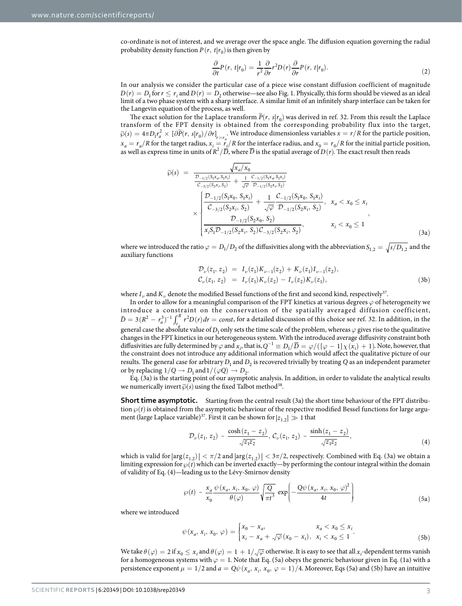co-ordinate is not of interest, and we average over the space angle. The diffusion equation governing the radial probability density function  $P(r, t|r_0)$  is then given by

$$
\frac{\partial}{\partial t}P(r, t|r_0) = \frac{1}{r^2}\frac{\partial}{\partial r}r^2 D(r)\frac{\partial}{\partial r}P(r, t|r_0).
$$
\n(2)

In our analysis we consider the particular case of a piece wise constant diffusion coefficient of magnitude  $D(r) = D_1$  for  $r \le r_i$  and  $D(r) = D_2$  otherwise—see also [Fig. 1](#page-1-0). Physically, this form should be viewed as an ideal limit of a two phase system with a sharp interface. A similar limit of an infinitely sharp interface can be taken for the Langevin equation of the process, as well.

The exact solution for the Laplace transform  $\tilde{P}(r, s|r_0)$  was derived in ref. [32](#page-9-19). From this result the Laplace transform of the FPT density is obtained from the corresponding probability flux into the target,  $\widetilde{\varphi}(s) = 4\pi D_1 r_a^2 \times [\partial \widetilde{P}(r, s|r_0)/\partial r]_{r=r_a}$ . We introduce dimensionless variables  $x = r/R$  for the particle position,  $x_a = r_a/R$  for the target radius,  $x_i = r_i/R$  for the interface radius, and  $x_0 = r_0/R$  for the initial particle position, as well as express time in units of  $R^2/\overline{D}$ , where  $\overline{D}$  is the spatial average of  $D(r)$ . The exact result then reads

$$
\widetilde{\varphi}(s) = \frac{\sqrt{x_a/x_0}}{\frac{\mathcal{D}_{-1/2}(S_1x_a, S_1x_i)}{C_{-3/2}(S_2x_i, S_2)} + \frac{1}{\sqrt{\varphi}} \frac{C_{-1/2}(S_1x_a, S_1x_i)}{\mathcal{D}_{-1/2}(S_2x_i, S_2)}}\n\times\n\times\n\begin{cases}\n\frac{\mathcal{D}_{-1/2}(S_1x_0, S_1x_i)}{C_{-3/2}(S_2x_i, S_2)} + \frac{1}{\sqrt{\varphi}} \frac{C_{-1/2}(S_1x_0, S_1x_i)}{\mathcal{D}_{-1/2}(S_2x_i, S_2)}, & x_a < x_0 \le x_i \\
\frac{\mathcal{D}_{-1/2}(S_2x_0, S_2)}{x_i S_1 \mathcal{D}_{-1/2}(S_2x_i, S_2) \mathcal{C}_{-3/2}(S_2x_i, S_2)}, & x_i < x_0 \le 1\n\end{cases}
$$
\n(3a)

where we introduced the ratio  $\varphi = D_1/D_2$  of the diffusivities along with the abbreviation  $S_{1,2} = \sqrt{s/D_{1,2}}$  and the auxiliary functions

$$
\mathcal{D}_{\nu}(z_1, z_2) = I_{\nu}(z_1) K_{\nu-1}(z_2) + K_{\nu}(z_1) I_{\nu-1}(z_2), \n\mathcal{C}_{\nu}(z_1, z_2) = I_{\nu}(z_1) K_{\nu}(z_2) - I_{\nu}(z_2) K_{\nu}(z_1),
$$
\n(3b)

where  $I_{\nu}$  and  $K_{\nu}$  denote the modified Bessel functions of the first and second kind, respectively<sup>37</sup>.

In order to allow for a meaningful comparison of the FPT kinetics at various degrees *ϕ* of heterogeneity we introduce a constraint on the conservation of the spatially averaged diffusion coefficient,  $\bar{D} = 3(R^2 - r_a^3)^{-1} \int_{r_a}^{R} r^2 D(r) dr = const$ , for a detailed discussion of this choice see ref. [32.](#page-9-19) In addition, in the general case the absolute value of  $D_1$  only sets the time scale of the problem, whereas  $\varphi$  gives rise to the qualitative changes in the FPT kinetics in our heterogeneous system. With the introduced average diffusivity constraint both diffusivities are fully determined by  $\varphi$  and  $x_i$ , that is,  $Q^{-1} \equiv D_1/\overline{D} = \varphi/((\varphi - 1)\chi(x_i) + 1)$ . Note, however, that the constraint does not introduce any additional information which would affect the qualitative picture of our results. The general case for arbitrary  $D_1$  and  $D_2$  is recovered trivially by treating *Q* as an independent parameter or by replacing  $1/Q \rightarrow D_1$  and  $1/(\varphi Q) \rightarrow D_2$ .

Eq. (3a) is the starting point of our asymptotic analysis. In addition, in order to validate the analytical results we numerically invert  $\widetilde{\varphi}(s)$  using the fixed Talbot method<sup>38</sup>.

**Short time asymptotic.** Starting from the central result (3a) the short time behaviour of the FPT distribution  $\varphi(t)$  is obtained from the asymptotic behaviour of the respective modified Bessel functions for large argument (large Laplace variable)<sup>37</sup>. First it can be shown for  $|z_{1,2}| \gg 1$  that

$$
\mathcal{D}_{\nu}(z_1, z_2) \sim \frac{\cosh(z_1 - z_2)}{\sqrt{z_1 z_2}}, \, \mathcal{C}_{\nu}(z_1, z_2) \sim \frac{\sinh(z_1 - z_2)}{\sqrt{z_1 z_2}}, \tag{4}
$$

which is valid for  $|\arg(z_{1,2})| < \pi/2$  and  $|\arg(z_{1,2})| < 3\pi/2$ , respectively. Combined with Eq. (3a) we obtain a limiting expression for  $\wp(t)$  which can be inverted exactly—by performing the contour integral within the domain of validity of Eq. (4)—leading us to the Lévy-Smirnov density

$$
\wp(t) \sim \frac{x_a}{x_0} \frac{\psi(x_a, x_i, x_0, \varphi)}{\theta(\varphi)} \sqrt{\frac{Q}{\pi t^3}} \exp\left(-\frac{Q\psi(x_a, x_i, x_0, \varphi)^2}{4t}\right) \tag{5a}
$$

where we introduced

$$
\psi(x_a, x_i, x_0, \varphi) = \begin{cases} x_0 - x_a, & x_a < x_0 \le x_i \\ x_i - x_a + \sqrt{\varphi}(x_0 - x_i), & x_i < x_0 \le 1 \end{cases}.
$$
 (5b)

We take  $\theta(\varphi) = 2$  if  $x_0 \le x_i$  and  $\theta(\varphi) = 1 + 1/\sqrt{\varphi}$  otherwise. It is easy to see that all  $x_i$ -dependent terms vanish for a homogeneous systems with  $\varphi =$  1. Note that Eq. (5a) obeys the generic behaviour given in Eq. (1a) with a persistence exponent  $\mu = 1/2$  and  $a = Q\psi(x_a, x_i, x_0, \varphi = 1)/4$ . Moreover, Eqs (5a) and (5b) have an intuitive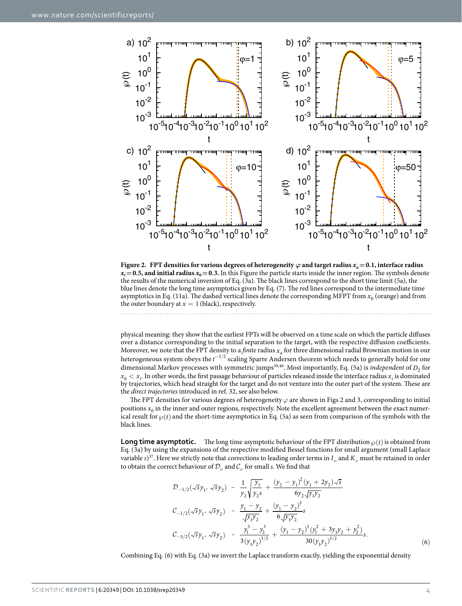

<span id="page-3-0"></span>**Figure 2. FPT densities for various degrees of heterogeneity**  $\varphi$  **and target radius**  $x_a = 0.1$ **, interface radius**  $x_i = 0.5$ , and initial radius  $x_0 = 0.3$ . In this Figure the particle starts inside the inner region. The symbols denote the results of the numerical inversion of Eq. (3a). The black lines correspond to the short time limit (5a), the blue lines denote the long time asymptotics given by Eq. (7). The red lines correspond to the intermediate time asymptotics in Eq. (11a). The dashed vertical lines denote the corresponding MFPT from  $x<sub>0</sub>$  (orange) and from the outer boundary at  $x = 1$  (black), respectively.

physical meaning: they show that the earliest FPTs will be observed on a time scale on which the particle diffuses over a distance corresponding to the initial separation to the target, with the respective diffusion coefficients. Moreover, we note that the FPT density to a *finite* radius *xa* for three dimensional radial Brownian motion in our heterogeneous system obeys the  $t^{-3/2}$  scaling Sparre Andersen theorem which needs to generally hold for one dimensional Markov processes with symmetric jumps<sup>[39,](#page-9-26)40</sup>. Most importantly, Eq. (5a) is *independent* of *D*<sub>2</sub> for  $x_0 < x_i$ . In other words, the first passage behaviour of particles released inside the interface radius  $x_i$  is dominated by trajectories, which head straight for the target and do not venture into the outer part of the system. These are the *direct trajectories* introduced in ref. [32,](#page-9-19) see also below.

The FPT densities for various degrees of heterogeneity *ϕ* are shown in [Figs 2](#page-3-0) and [3,](#page-4-0) corresponding to initial positions  $x_0$  in the inner and outer regions, respectively. Note the excellent agreement between the exact numerical result for  $\wp(t)$  and the short-time asymptotics in Eq. (5a) as seen from comparison of the symbols with the black lines.

**Long time asymptotic.** The long time asymptotic behaviour of the FPT distribution  $\varphi(t)$  is obtained from Eq. (3a) by using the expansions of the respective modified Bessel functions for small argument (small Laplace variable  $s$ )<sup>37</sup>. Here we strictly note that corrections to leading order terms in  $I_{\nu}$  and  $K_{\nu}$  must be retained in order to obtain the correct behaviour of  $\mathcal{D}_{\nu}$  and  $\mathcal{C}_{\nu}$  for small *s*. We find that

$$
\mathcal{D}_{-1/2}(\sqrt{s}y_1, \sqrt{s}y_2) \sim \frac{1}{y_2} \sqrt{\frac{y_1}{y_2 s}} + \frac{(y_2 - y_1)^2 (y_1 + 2y_2) \sqrt{s}}{6 y_2 \sqrt{y_1 y_2}}
$$
  
\n
$$
\mathcal{C}_{-1/2}(\sqrt{s}y_1, \sqrt{s}y_2) \sim \frac{y_1 - y_2}{\sqrt{y_1 y_2}} + \frac{(y_1 - y_2)^3}{6 \sqrt{y_1 y_2}} s
$$
  
\n
$$
\mathcal{C}_{-3/2}(\sqrt{s}y_1, \sqrt{s}y_2) \sim \frac{y_1^3 - y_2^3}{3 (y_1 y_2)^{3/2}} + \frac{(y_1 - y_2)^3 (y_1^2 + 3y_1 y_2 + y_2^2)}{30 (y_1 y_2)^{3/2}} s.
$$
 (6)

Combining Eq. (6) with Eq. (3a) we invert the Laplace transform exactly, yielding the exponential density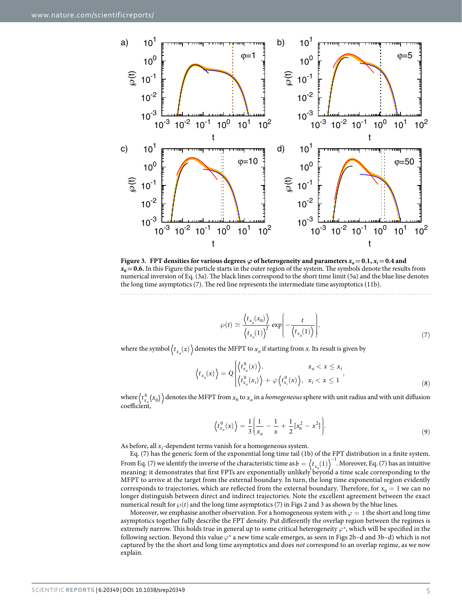

<span id="page-4-0"></span>**Figure 3. FPT densities for various degrees**  $\varphi$  **of heterogeneity and parameters**  $x_a = 0.1$ **,**  $x_i = 0.4$  **and**  $x<sub>0</sub> = 0.6$ . In this Figure the particle starts in the outer region of the system. The symbols denote the results from numerical inversion of Eq. (3a). The black lines correspond to the short time limit (5a) and the blue line denotes the long time asymptotics (7). The red line represents the intermediate time asymptotics (11b).

$$
\wp(t) \simeq \frac{\langle t_{x_a}(x_0) \rangle}{\langle t_{x_a}(1) \rangle^2} \exp\left(-\frac{t}{\langle t_{x_a}(1) \rangle}\right),\tag{7}
$$

where the symbol  $\langle t_{x} (x) \rangle$  denotes the MFPT to  $x_a$  if starting from *x*. Its result is given by

$$
\left\langle t_{x_a}(x) \right\rangle = Q \begin{cases} \left\langle t_{x_a}^0(x) \right\rangle, & x_a < x \leq x_i \\ \left\langle t_{x_a}^0(x_i) \right\rangle + \varphi \left\langle t_{x_i}^0(x) \right\rangle, & x_i < x \leq 1 \end{cases},
$$
\n(8)

where  $\langle t_{x_a}^0(x_0) \rangle$  denotes the MFPT from  $x_0$  to  $x_a$  in a *homogeneous* sphere with unit radius and with unit diffusion coefficient,

$$
\left\langle t_{x_a}^0(x) \right\rangle = \frac{1}{3} \left( \frac{1}{x_a} - \frac{1}{x} + \frac{1}{2} [x_a^2 - x^2] \right). \tag{9}
$$

As before, all  $x_i$ -dependent terms vanish for a homogeneous system.

Eq. (7) has the generic form of the exponential long time tail (1b) of the FPT distribution in a finite system. From Eq. (7) we identify the inverse of the characteristic time as  $b = \langle t_{x_a}(1) \rangle^{-1}$ . Moreover, Eq. (7) has an intuitive meaning: it demonstrates that first FPTs are exponentially unlikely beyond a time scale corresponding to the MFPT to arrive at the target from the external boundary. In turn, the long time exponential region evidently corresponds to trajectories, which are reflected from the external boundary. Therefore, for  $x_0 = 1$  we can no longer distinguish between direct and indirect trajectories. Note the excellent agreement between the exact numerical result for  $\wp(t)$  and the long time asymptotics (7) in [Figs 2](#page-3-0) and [3](#page-4-0) as shown by the blue lines.

Moreover, we emphasise another observation. For a homogeneous system with  $\varphi = 1$  the short and long time asymptotics together fully describe the FPT density. Put differently the overlap region between the regimes is extremely narrow. This holds true in general up to some critical heterogeneity  $\varphi^*$ , which will be specified in the following section. Beyond this value  $\varphi^*$  a new time scale emerges, as seen in [Figs 2](#page-3-0)b-d and [3b](#page-4-0)-d) which is not captured by the the short and long time asymptotics and does *not* correspond to an overlap regime, as we now explain.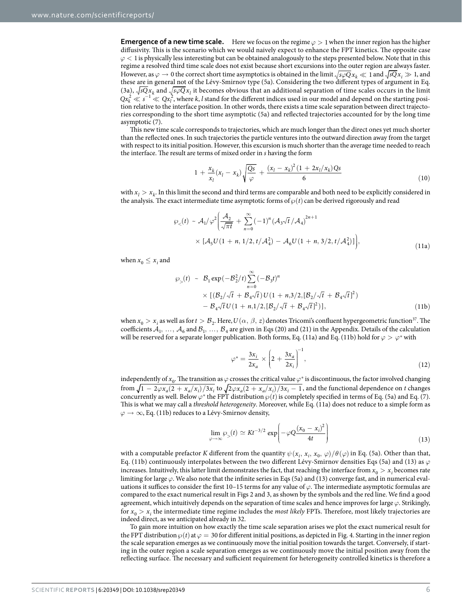**Emergence of a new time scale.** Here we focus on the regime  $\varphi > 1$  when the inner region has the higher diffusivity. This is the scenario which we would naively expect to enhance the FPT kinetics. The opposite case *ϕ* < 1 is physically less interesting but can be obtained analogously to the steps presented below. Note that in this regime a resolved third time scale does not exist because short excursions into the outer region are always faster. However, as  $\varphi \to 0$  the correct short time asymptotics is obtained in the limit  $\sqrt{s\varphi Qx}$ ,  $\ll 1$  and  $\sqrt{sQx}$ ;  $\gg 1$ , and these are in general not of the Lévy-Smirnov type (5a). Considering the two different types of argument in Eq. (3a),  $\sqrt{s}Qx_k$  and  $\sqrt{s}Qx_l$  it becomes obvious that an additional separation of time scales occurs in the limit  $Qx_k^2 \ll s^{-1} \ll Qx_l^2$ , where *k*, *l* stand for the different indices used in our model and depend on the starting position relative to the interface position. In other words, there exists a time scale separation between direct trajectories corresponding to the short time asymptotic (5a) and reflected trajectories accounted for by the long time asymptotic (7).

This new time scale corresponds to trajectories, which are much longer than the direct ones yet much shorter than the reflected ones. In such trajectories the particle ventures into the outward direction away from the target with respect to its initial position. However, this excursion is much shorter than the average time needed to reach the interface. The result are terms of mixed order in *s* having the form

$$
1 + \frac{x_k}{x_l}(x_l - x_k) \sqrt{\frac{Qs}{\varphi}} + \frac{(x_l - x_k)^2 (1 + 2x_l/x_k) Qs}{6}
$$
\n(10)

with  $x_l > x_k$ . In this limit the second and third terms are comparable and both need to be explicitly considered in the analysis. The exact intermediate time asymptotic forms of  $\wp(t)$  can be derived rigorously and read

$$
\wp_{\leq}(t) \sim A_1/\varphi^2 \bigg( \frac{\mathcal{A}_2}{\sqrt{\pi t}} + \sum_{n=0}^{\infty} (-1)^n (\mathcal{A}_3 \sqrt{t} / \mathcal{A}_4)^{2n+1} \times [\mathcal{A}_5 U (1 + n, 1/2, t / \mathcal{A}_4^2) - \mathcal{A}_6 U (1 + n, 3/2, t / \mathcal{A}_4^2)] \bigg),
$$
\n(11a)

when  $x_0 \leq x_i$  and

$$
\wp_{>}(t) \sim \mathcal{B}_{1} \exp(-\mathcal{B}_{2}^{2}/t) \sum_{n=0}^{\infty} (-\mathcal{B}_{3}t)^{n}
$$
  
 
$$
\times \left[ (\mathcal{B}_{2}/\sqrt{t} + \mathcal{B}_{4}\sqrt{t}) U(1 + n, 3/2, [\mathcal{B}_{2}/\sqrt{t} + \mathcal{B}_{4}\sqrt{t}]^{2}) - \mathcal{B}_{4}\sqrt{t} U(1 + n, 1/2, [\mathcal{B}_{2}/\sqrt{t} + \mathcal{B}_{4}\sqrt{t}]^{2}) \right],
$$
 (11b)

when  $x_0 > x_i$  as well as for  $t > B_2$ . Here,  $U(\alpha, \beta, z)$  denotes Tricomi's confluent hypergeometric function<sup>[37](#page-9-24)</sup>. The coefficients  $A_1, ..., A_6$  and  $B_1, ..., B_4$  are given in Eqs (20) and (21) in the Appendix. Details of the calculation will be reserved for a separate longer publication. Both forms, Eq. (11a) and Eq. (11b) hold for  $\varphi > \varphi^*$  with

$$
\varphi^* = \frac{3x_i}{2x_a} \times \left(2 + \frac{3x_a}{2x_i}\right)^{-1},\tag{12}
$$

independently of  $x_0$ . The transition as  $\varphi$  crosses the critical value  $\varphi^*$  is discontinuous, the factor involved changing from  $\sqrt{1-2\varphi x_a(2+x_a/x_i)}$  *j*  $3x_i$  to  $\sqrt{2\varphi x_a(2+x_a/x_i)}$  *j*  $3x_i-1$ , and the functional dependence on *t* changes concurrently as well. Below  $\varphi^*$  the FPT distribution  $\varphi(t)$  is completely specified in terms of Eq. (5a) and Eq. (7). This is what we may call a *threshold heterogeneity*. Moreover, while Eq. (11a) does not reduce to a simple form as *ϕ* → ∞, Eq. (11b) reduces to a Lévy-Smirnov density,

$$
\lim_{\varphi \to \infty} \varphi_{>}(t) \simeq K t^{-3/2} \exp\left(-\varphi Q \frac{(x_0 - x_i)^2}{4t}\right)
$$
\n(13)

with a computable prefactor *K* different from the quantity  $\psi(x_i, x_i, x_0, \varphi) / \theta(\varphi)$  in Eq. (5a). Other than that, Eq. (11b) continuously interpolates between the two different Lévy-Smirnov densities Eqs (5a) and (13) as *ϕ* increases. Intuitively, this latter limit demonstrates the fact, that reaching the interface from  $x_0 > x_i$  becomes rate limiting for large *ϕ*. We also note that the infinite series in Eqs (5a) and (13) converge fast, and in numerical evaluations it suffices to consider the first 10–15 terms for any value of *ϕ*. The intermediate asymptotic formulas are compared to the exact numerical result in [Figs 2](#page-3-0) and [3](#page-4-0), as shown by the symbols and the red line. We find a good agreement, which intuitively depends on the separation of time scales and hence improves for large *ϕ*. Strikingly, for  $x_0 > x_i$  the intermediate time regime includes the *most likely* FPTs. Therefore, most likely trajectories are indeed direct, as we anticipated already in [32](#page-9-19).

To gain more intuition on how exactly the time scale separation arises we plot the exact numerical result for the FPT distribution  $\wp(t)$  at  $\varphi = 30$  for different initial positions, as depicted in [Fig. 4.](#page-6-0) Starting in the inner region the scale separation emerges as we continuously move the initial position towards the target. Conversely, if starting in the outer region a scale separation emerges as we continuously move the initial position away from the reflecting surface. The necessary and sufficient requirement for heterogeneity controlled kinetics is therefore a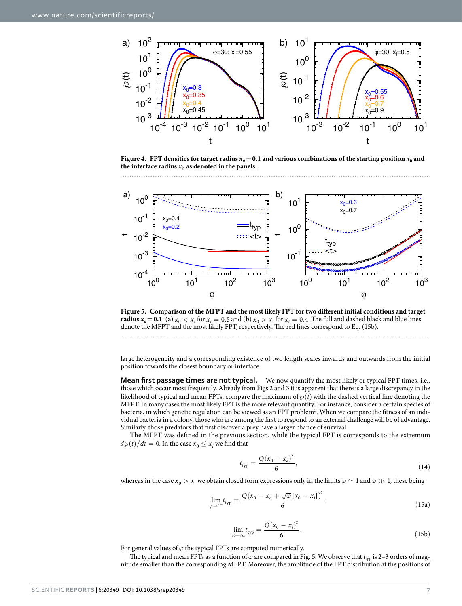

<span id="page-6-0"></span>**Figure 4.** FPT densities for target radius  $x_a = 0.1$  and various combinations of the starting position  $x_0$  and the interface radius  $x_i$ , as denoted in the panels.



<span id="page-6-1"></span>**Figure 5. Comparison of the MFPT and the most likely FPT for two different initial conditions and target radius**  $x_a = 0.1$ : (a)  $x_0 < x_i$  for  $x_i = 0.5$  and (b)  $x_0 > x_i$  for  $x_i = 0.4$ . The full and dashed black and blue lines denote the MFPT and the most likely FPT, respectively. The red lines correspond to Eq. (15b).

large heterogeneity and a corresponding existence of two length scales inwards and outwards from the initial position towards the closest boundary or interface.

**Mean first passage times are not typical.** We now quantify the most likely or typical FPT times, i.e., those which occur most frequently. Already from [Figs 2](#page-3-0) and [3](#page-4-0) it is apparent that there is a large discrepancy in the likelihood of typical and mean FPTs, compare the maximum of  $\wp(t)$  with the dashed vertical line denoting the MFPT. In many cases the most likely FPT is the more relevant quantity. For instance, consider a certain species of bacteria, in which genetic regulation can be viewed as an FPT problem<sup>5</sup>. When we compare the fitness of an individual bacteria in a colony, those who are among the first to respond to an external challenge will be of advantage. Similarly, those predators that first discover a prey have a larger chance of survival.

The MFPT was defined in the previous section, while the typical FPT is corresponds to the extremum  $d\wp(t)/dt = 0$ . In the case  $x_0 \leq x_i$  we find that

$$
t_{\rm typ} = \frac{Q(x_0 - x_a)^2}{6},\tag{14}
$$

whereas in the case  $x_0 > x_i$  we obtain closed form expressions only in the limits  $\varphi \simeq 1$  and  $\varphi \gg 1$ , these being

$$
\lim_{\varphi \to 1^+} t_{\text{typ}} = \frac{Q(x_0 - x_a + \sqrt{\varphi} [x_0 - x_i])^2}{6} \tag{15a}
$$

$$
\lim_{\varphi \to \infty} t_{\rm typ} = \frac{Q(x_0 - x_i)^2}{6}.
$$
\n(15b)

For general values of  $\varphi$  the typical FPTs are computed numerically.

The typical and mean FPTs as a function of  $\varphi$  are compared in [Fig. 5](#page-6-1). We observe that  $t_{typ}$  is 2–3 orders of magnitude smaller than the corresponding MFPT. Moreover, the amplitude of the FPT distribution at the positions of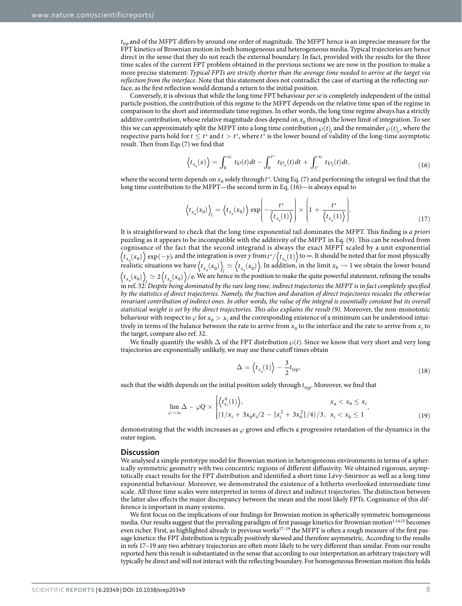$t_{\text{tv}}$  and of the MFPT differs by around one order of magnitude. The MFPT hence is an imprecise measure for the FPT kinetics of Brownian motion in both homogeneous and heterogeneous media. Typical trajectories are hence direct in the sense that they do not reach the external boundary. In fact, provided with the results for the three time scales of the current FPT problem obtained in the previous sections we are now in the position to make a more precise statement: *Typical FPTs are strictly shorter than the average time needed to arrive at the target via reflection from the interface.* Note that this statement does not contradict the case of starting at the reflecting surface, as the first reflection would demand a return to the initial position.

Conversely, it is obvious that while the long time FPT behaviour *per se* is completely independent of the initial particle position, the contribution of this regime to the MFPT depends on the relative time span of the regime in comparison to the short and intermediate time regimes. In other words, the long time regime always has a strictly additive contribution, whose relative magnitude does depend on  $x_0$  through the lower limit of integration. To see this we can approximately split the MFPT into a long time contribution  $\wp(t)$  and the remainder  $\wp(t)$ , where the respective parts hold for  $t \leq t^*$  and  $t > t^*$ , where  $t^*$  is the lower bound of validity of the long-time asymptotic result. Then from Eqs (7) we find that

$$
\left\langle t_{x_a}(x) \right\rangle = \int_0^\infty t \wp(t) dt \sim \int_0^{t^*} t \wp_r(t) dt + \int_{t^*}^\infty t \wp_l(t) dt,
$$
\n(16)

where the second term depends on  $x_0$  solely through  $t^*$ . Using Eq. (7) and performing the integral we find that the long time contribution to the MFPT—the second term in Eq. (16)—is always equal to

$$
\left\langle t_{x_a}(x_0) \right\rangle_l = \left\langle t_{x_a}(x_0) \right\rangle \exp\left(-\frac{t^*}{\left\langle t_{x_a}(1) \right\rangle} \right) \times \left[1 + \frac{t^*}{\left\langle t_{x_a}(1) \right\rangle} \right]. \tag{17}
$$

It is straightforward to check that the long time exponential tail dominates the MFPT. This finding is *a priori* puzzling as it appears to be incompatible with the additivity of the MFPT in Eq. (9). This can be resolved from cognisance of the fact that the second integrand is always the exact MFPT scaled by a unit exponential  $t_{x_a}(x_0)$  exp(-*y*), and the integration is over *y* from  $t^*/(t_{x_a}(1))$  to ∞. It should be noted that for most physically realistic situations we have  $\langle t_{x_a}(x_0) \rangle$   $\simeq \langle t_{x_a}(x_0) \rangle$ . In addition, in the limit  $x_0 \to 1$  we obtain the lower bound  $t_{x_a}(x_0)$   $\geq 2$   $\left\{t_{x_a}(x_0)\right\}/e$ . We are hence in the position to make the quite powerful statement, refining the results in ref. [32:](#page-9-19) *Despite being dominated by the rare long time, indirect trajectories the MFPT is in fact completely specified by the statistics of direct trajectories. Namely, the fraction and duration of direct trajectories rescales the otherwise invariant contribution of indirect ones. In other words, the value of the integral is essentially constant but its overall statistical weight is set by the direct trajectories. This also explains the result (9).* Moreover, the non-monotonic behaviour with respect to  $\varphi$  for  $x_0>x_i$  and the corresponding existence of a minimum can be understood intuitively in terms of the balance between the rate to arrive from  $x_0$  to the interface and the rate to arrive from  $x_i$  to the target, compare also ref. [32.](#page-9-19)

We finally quantify the width  $\Delta$  of the FPT distribution  $\wp(t)$ . Since we know that very short and very long trajectories are exponentially unlikely, we may use these cutoff times obtain

$$
\Delta = \left\langle t_{x_a}(1) \right\rangle - \frac{3}{2} t_{\text{typ}},\tag{18}
$$

such that the width depends on the initial position solely through  $t_{\text{typ}}$ . Moreover, we find that

$$
\lim_{\varphi \to \infty} \Delta \sim \varphi Q \times \begin{cases} \left\langle t_{x_i}^0(1) \right\rangle, & x_a < x_0 \le x_i \\ (1/x_i + 3x_0x_i/2 - [x_i^2 + 3x_0^2]/4)/3, & x_i < x_0 \le 1 \end{cases}
$$
\n(19)

demonstrating that the width increases as *ϕ* grows and effects a progressive retardation of the dynamics in the outer region.

#### **Discussion**

We analysed a simple prototype model for Brownian motion in heterogeneous environments in terms of a spherically symmetric geometry with two concentric regions of different diffusivity. We obtained rigorous, asymptotically exact results for the FPT distribution and identified a short time Lévy-Smirnov as well as a long time exponential behaviour. Moreover, we demonstrated the existence of a hitherto overlooked intermediate time scale. All three time scales were interpreted in terms of direct and indirect trajectories. The distinction between the latter also effects the major discrepancy between the mean and the most likely FPTs. Cognisance of this difference is important in many systems.

We first focus on the implications of our findings for Brownian motion in spherically symmetric homogeneous media. Our results suggest that the prevailing paradigm of first passage kinetics for Brownian motion<sup>[1,](#page-9-0)[14](#page-9-13),[15](#page-9-14)</sup> becomes even richer. First, as highlighted already in previous work[s17–19](#page-9-15) the MFPT is often a rough measure of the first passage kinetics: the FPT distribution is typically positively skewed and therefore asymmetric. According to the results in refs [17–19](#page-9-15) any two arbitrary trajectories are often more likely to be very different than similar. From our results reported here this result is substantiated in the sense that according to our interpretation an arbitrary trajectory will typically be direct and will not interact with the reflecting boundary. For homogeneous Brownian motion this holds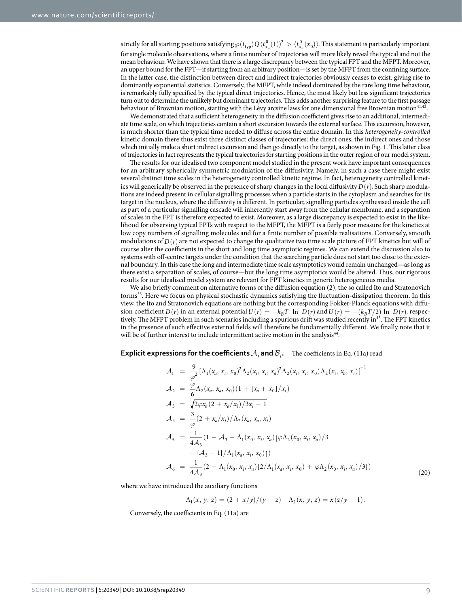strictly for all starting positions satisfying  $\wp(t_{\text{typ}})Q\langle t_{x_a}^0(1)\rangle^2 > \langle t_{x_a}^0(x_0)\rangle$ . This statement is particularly important for single molecule observations, where a finite number of trajectories will more likely reveal the typical and not the mean behaviour. We have shown that there is a large discrepancy between the typical FPT and the MFPT. Moreover, an upper bound for the FPT—if starting from an arbitrary position—is set by the MFPT from the confining surface. In the latter case, the distinction between direct and indirect trajectories obviously ceases to exist, giving rise to dominantly exponential statistics. Conversely, the MFPT, while indeed dominated by the rare long time behaviour, is remarkably fully specified by the typical direct trajectories. Hence, the most likely but less significant trajectories turn out to determine the unlikely but dominant trajectories. This adds another surprising feature to the first passage behaviour of Brownian motion, starting with the Lévy arcsine laws for one dimensional free Brownian motion<sup>41,42</sup>.

We demonstrated that a sufficient heterogeneity in the diffusion coefficient gives rise to an additional, intermediate time scale, on which trajectories contain a short excursion towards the external surface. This excursion, however, is much shorter than the typical time needed to diffuse across the entire domain. In this *heterogeneity-controlled* kinetic domain there thus exist three distinct classes of trajectories: the direct ones, the indirect ones and those which initially make a short indirect excursion and then go directly to the target, as shown in [Fig. 1](#page-1-0). This latter class of trajectories in fact represents the typical trajectories for starting positions in the outer region of our model system.

The results for our idealised two component model studied in the present work have important consequences for an arbitrary spherically symmetric modulation of the diffusivity. Namely, in such a case there might exist several distinct time scales in the heterogeneity controlled kinetic regime. In fact, heterogeneity controlled kinetics will generically be observed in the presence of sharp changes in the local diffusivity  $D(r)$ . Such sharp modulations are indeed present in cellular signalling processes when a particle starts in the cytoplasm and searches for its target in the nucleus, where the diffusivity is different. In particular, signalling particles synthesised inside the cell as part of a particular signalling cascade will inherently start away from the cellular membrane, and a separation of scales in the FPT is therefore expected to exist. Moreover, as a large discrepancy is expected to exist in the likelihood for observing typical FPTs with respect to the MFPT, the MFPT is a fairly poor measure for the kinetics at low copy numbers of signalling molecules and for a finite number of possible realisations. Conversely, smooth modulations of  $D(r)$  are not expected to change the qualitative two time scale picture of FPT kinetics but will of course alter the coefficients in the short and long time asymptotic regimes. We can extend the discussion also to systems with off-centre targets under the condition that the searching particle does not start too close to the external boundary. In this case the long and intermediate time scale asymptotics would remain unchanged—as long as there exist a separation of scales, of course—but the long time asymptotics would be altered. Thus, our rigorous results for our idealised model system are relevant for FPT kinetics in generic heterogeneous media.

We also briefly comment on alternative forms of the diffusion equation (2), the so called Ito and Stratonovich forms<sup>35</sup>. Here we focus on physical stochastic dynamics satisfying the fluctuation-dissipation theorem. In this view, the Ito and Stratonovich equations are nothing but the corresponding Fokker-Planck equations with diffusion coefficient  $D(r)$  in an external potential  $U(r) = -k<sub>B</sub>T$  ln  $D(r)$  and  $U(r) = -(k<sub>B</sub>T/2)$  ln  $D(r)$ , respectively. The MFPT problem in such scenarios including a spurious drift was studied recently in<sup>43</sup>. The FPT kinetics in the presence of such effective external fields will therefore be fundamentally different. We finally note that it will be of further interest to include intermittent active motion in the analysis<sup>44</sup>.

**Explicit expressions for the coefficients**  $A_i$  and  $B_i$ . The coefficients in Eq. (11a) read

$$
\mathcal{A}_{1} = \frac{9}{\varphi^{2}} [\Lambda_{1}(x_{a}, x_{i}, x_{0})^{2} \Lambda_{2}(x_{i}, x_{i}, x_{a})^{2} \Lambda_{2}(x_{i}, x_{i}, x_{0}) \Lambda_{2}(x_{i}, x_{a}, x_{i})]^{-1}
$$
\n
$$
\mathcal{A}_{2} = \frac{\varphi}{6} \Lambda_{2}(x_{a}, x_{a}, x_{0}) (1 + [x_{a} + x_{0}]/x_{i})
$$
\n
$$
\mathcal{A}_{3} = \sqrt{2 \varphi x_{a} (2 + x_{a}/x_{i}) / 3x_{i} - 1}
$$
\n
$$
\mathcal{A}_{4} = \frac{3}{\varphi} (2 + x_{a}/x_{i}) / \Lambda_{2}(x_{a}, x_{a}, x_{i})
$$
\n
$$
\mathcal{A}_{5} = \frac{1}{4 \mathcal{A}_{3}} (1 - \mathcal{A}_{3} - \Lambda_{1}(x_{0}, x_{i}, x_{a}) [\varphi \Lambda_{2}(x_{0}, x_{i}, x_{a}) / 3 - \{\mathcal{A}_{3} - 1\} / \Lambda_{1}(x_{a}, x_{i}, x_{0})])
$$
\n
$$
\mathcal{A}_{6} = \frac{1}{4 \mathcal{A}_{3}} (2 - \Lambda_{1}(x_{0}, x_{i}, x_{a}) [2/\Lambda_{1}(x_{a}, x_{i}, x_{0}) + \varphi \Lambda_{2}(x_{0}, x_{i}, x_{a}) / 3])
$$
\n(20)

where we have introduced the auxiliary functions

$$
\Lambda_1(x, y, z) = (2 + x/y)/(y - z) \quad \Lambda_2(x, y, z) = x(z/y - 1).
$$

Conversely, the coefficients in Eq. (11a) are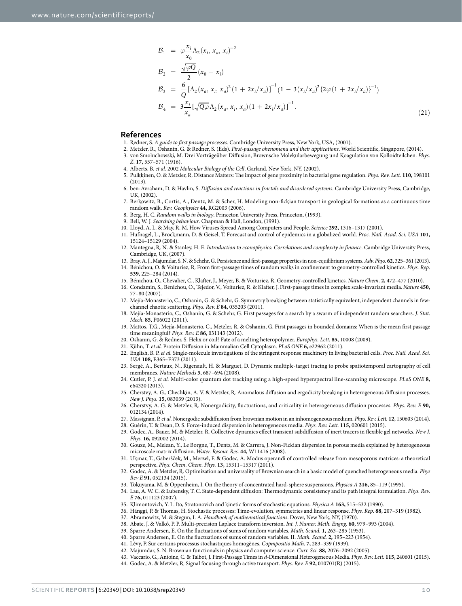$$
\mathcal{B}_{1} = \varphi \frac{x_{i}}{x_{0}} \Lambda_{2} (x_{i}, x_{a}, x_{i})^{-2}
$$
\n
$$
\mathcal{B}_{2} = \frac{\sqrt{\varphi Q}}{2} (x_{0} - x_{i})
$$
\n
$$
\mathcal{B}_{3} = \frac{6}{Q} [\Lambda_{2} (x_{a}, x_{i}, x_{a})^{2} (1 + 2x_{i}/x_{a})]^{-1} (1 - 3(x_{i}/x_{a})^{2} \{2\varphi (1 + 2x_{i}/x_{a})\}^{-1})
$$
\n
$$
\mathcal{B}_{4} = 3 \frac{x_{i}}{x_{a}} [\sqrt{Q\varphi} \Lambda_{2} (x_{a}, x_{i}, x_{a}) (1 + 2x_{i}/x_{a})]^{-1}.
$$
\n(21)

#### **References**

- <span id="page-9-1"></span><span id="page-9-0"></span>1. Redner, S. *A guide to first passage processes*. Cambridge University Press, New York, USA, (2001).
- 2. Metzler, R., Oshanin, G. & Redner, S. (Eds). *First-passage ohenomena and their applications*. World Scientific, Singapore, (2014).
- <span id="page-9-2"></span>3. von Smoluchowski, M. Drei Vorträgeüber Diffusion, Brownsche Molekularbewegung und Koagulation von Kolloidteilchen. *Phys. Z*. **17,** 557–571 (1916).
- <span id="page-9-4"></span><span id="page-9-3"></span>4. Alberts, B. *et al.* 2002 *Molecular Biology of the Cell*. Garland, New York, NY, (2002).
- 5. Pulkkinen, O. & Metzler, R. Distance Matters: The impact of gene proximity in bacterial gene regulation. *Phys. Rev. Lett.* **110,** 198101  $(2013)$
- <span id="page-9-5"></span>6. ben-Avraham, D. & Havlin, S. *Diffusion and reactions in fractals and disordered systems*. Cambridge University Press, Cambridge, UK, (2002).
- <span id="page-9-6"></span>7. Berkowitz, B., Cortis, A., Dentz, M. & Scher, H. Modeling non-fickian transport in geological formations as a continuous time random walk. *Rev. Geophysics* **44,** RG2003 (2006).
- <span id="page-9-7"></span>8. Berg, H. C. *Random walks in biology*. Princeton University Press, Princeton, (1993).
- <span id="page-9-9"></span><span id="page-9-8"></span>9. Bell, W. J. *Searching behaviour*. Chapman & Hall, London, (1991).
- 10. Lloyd, A. L. & May, R. M. How Viruses Spread Among Computers and People. *Science* **292,** 1316–1317 (2001).
- <span id="page-9-10"></span>11. Hufnagel, L., Brockmann, D. & Geisel, T. Forecast and control of epidemics in a globalized world. *Proc. Natl. Acad. Sci. USA* **101,** 15124–15129 (2004).
- <span id="page-9-11"></span>12. Mantegna, R. N. & Stanley, H. E. *Introduction to econophysics: Correlations and complexity in finance*. Cambridge University Press, Cambridge, UK, (2007).
- <span id="page-9-13"></span><span id="page-9-12"></span>13. Bray. A. J., Majumdar, S. N. & Schehr, G. Persistence and first-passage properties in non-equilibrium systems. *Adv. Phys*. **62,** 325–361 (2013).
- 14. Bénichou, O. & Voituriez, R. From first-passage times of random walks in confinement to geometry-controlled kinetics. *Phys. Rep*. **539,** 225–284 (2014).
- <span id="page-9-14"></span>15. Bénichou, O., Chevalier, C., Klafter, J., Meyer, B. & Voituriez, R. Geometry-controlled kinetics. *Nature Chem*. **2,** 472–477 (2010).
- 16. Condamin, S., Bénichou, O., Tejedor, V., Voituriez, R. & Klafter, J. First-passage times in complex scale-invariant media. *Nature* **450,** 77–80 (2007).
- <span id="page-9-15"></span>17. Mejía-Monasterio, C., Oshanin, G. & Schehr, G. Symmetry breaking between statistically equivalent, independent channels in fewchannel chaotic scattering. *Phys. Rev. E* **84,** 035203 (2011).
- <span id="page-9-16"></span>18. Mejía-Monasterio, C., Oshanin, G. & Schehr, G. First passages for a search by a swarm of independent random searchers. *J. Stat. Mech*. **85,** P06022 (2011).
- 19. Mattos, T.G., Mejía-Monasterio, C., Metzler, R. & Oshanin, G. First passages in bounded domains: When is the mean first passage time meaningful? *Phys. Rev. E* **86,** 031143 (2012).
- 20. Oshanin, G. & Redner, S. Helix or coil? Fate of a melting heteropolymer. *Europhys. Lett.* **85,** 10008 (2009).
- <span id="page-9-17"></span>21. Kühn, T. *et al.* Protein Diffusion in Mammalian Cell Cytoplasm. *PLoS ONE* **6,** e22962 (2011).
- 22. English, B. P. *et al.* Single-molecule investigations of the stringent response machinery in living bacterial cells. *Proc. Natl. Acad. Sci. USA* **108,** E365–E373 (2011).
- 23. Sergé, A., Bertaux, N., Rigenault, H. & Marguet, D. Dynamic multiple-target tracing to probe spatiotemporal cartography of cell membranes. *Nature Methods* **5,** 687–694 (2008).
- 24. Cutler, P. J. *et al.* Multi-color quantum dot tracking using a high-speed hyperspectral line-scanning microscope. *PLoS ONE* **8,** e64320 (2013).
- <span id="page-9-18"></span>25. Cherstvy, A. G., Chechkin, A. V. & Metzler, R. Anomalous diffusion and ergodicity breaking in heterogeneous diffusion processes. *New J. Phys.* **15,** 083039 (2013).
- 26. Cherstvy, A. G. & Metzler, R. Nonergodicity, fluctuations, and criticality in heterogeneous diffusion processes. *Phys. Rev. E* **90,** 012134 (2014).
- 27. Massignan, P. *et al.* Nonergodic subdiffusion from brownian motion in an inhomogeneous medium. *Phys. Rev. Lett.* **12,** 150603 (2014).
- 28. Guérin, T. & Dean, D. S. Force-induced dispersion in heterogeneous media. *Phys. Rev. Lett.* **115,** 020601 (2015).
- 29. Godec, A., Bauer, M. & Metzler, R. Collective dynamics effect transient subdiffusion of inert tracers in flexible gel networks. *New J. Phys.* **16,** 092002 (2014).
- 30. Gouze, M., Melean, Y., Le Borgne, T., Dentz, M. & Carrera, J. Non-Fickian dispersion in porous media explained by heterogeneous microscale matrix diffusion. *Water. Resour. Res.* **44,** W11416 (2008).
- 31. Ukmar, T., Gaberšček, M., Merzel, F. & Godec, A. Modus operandi of controlled release from mesoporous matrices: a theoretical perspective. *Phys. Chem. Chem. Phys.* **13,** 15311–15317 (2011).
- <span id="page-9-19"></span>32. Godec, A. & Metzler, R. Optimization and universality of Brownian search in a basic model of quenched heterogeneous media. *Phys Rev E* **91,** 052134 (2015).
- <span id="page-9-20"></span>33. Tokuyama, M. & Oppenheim, I. On the theory of concentrated hard-sphere suspensions. *Physica A* **216,** 85–119 (1995).
- <span id="page-9-21"></span>34. Lau, A. W. C. & Lubensky, T. C. State-dependent diffusion: Thermodynamic consistency and its path integral formulation. *Phys. Rev. E* **76,** 011123 (2007).
- <span id="page-9-22"></span>35. Klimontovich, Y. L. Ito, Stratonovich and kinetic forms of stochastic equations. *Physica A* **163,** 515–532 (1990).
- <span id="page-9-23"></span>36. Hänggi, P. & Thomas, H. Stochastic processes: Time-evolution, symmetries and linear response. *Phys. Rep*. **88,** 207–319 (1982).
- <span id="page-9-24"></span>37. Abramowitz, M. & Stegun, I. A. *Handbook of mathematical functions*. Dover, New York, NY, (1970).
- <span id="page-9-25"></span>38. Abate, J. & Valkó, P. P. Multi-precision Laplace transform inversion. *Int. J. Numer. Meth. Engng*. **60,** 979–993 (2004).
- <span id="page-9-26"></span>39. Sparre Andersen, E. On the fluctuations of sums of random variables. *Math. Scand.* **1,** 263–285 (1953).
- <span id="page-9-28"></span><span id="page-9-27"></span>40. Sparre Andersen, E. On the fluctuations of sums of random variables. II. *Math. Scand.* **2,** 195–223 (1954).
- <span id="page-9-31"></span><span id="page-9-30"></span><span id="page-9-29"></span>41. Lévy, P. Sur certains processus stochastiques homogènes. *Copmpositio Math*. **7,** 283–339 (1939).
- 42. Majumdar, S. N. Brownian functionals in physics and computer science. *Curr. Sci.* **88,** 2076–2092 (2005).
	- 43. Vaccario, G., Antoine, C. & Talbot, J. First-Passage Times in *d*-Dimensional Heterogeneous Media. *Phys. Rev. Lett.* **115,** 240601 (2015).
	- 44. Godec, A. & Metzler, R. Signal focusing through active transport. *Phys. Rev. E* **92,** 010701(R) (2015).